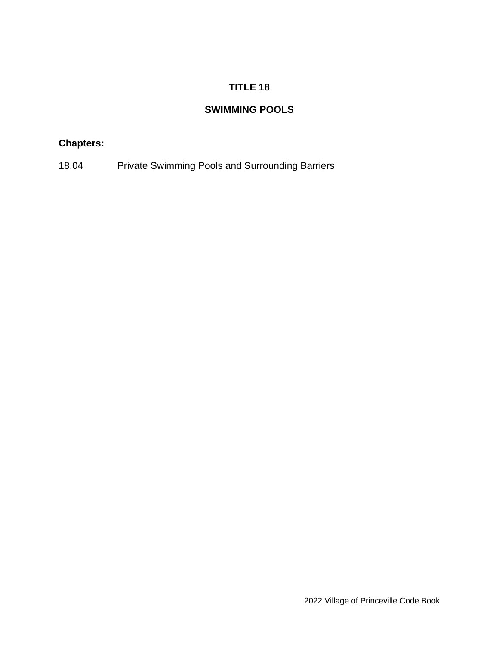# **TITLE 18**

## **SWIMMING POOLS**

## **Chapters:**

18.04 Private Swimming Pools and Surrounding Barriers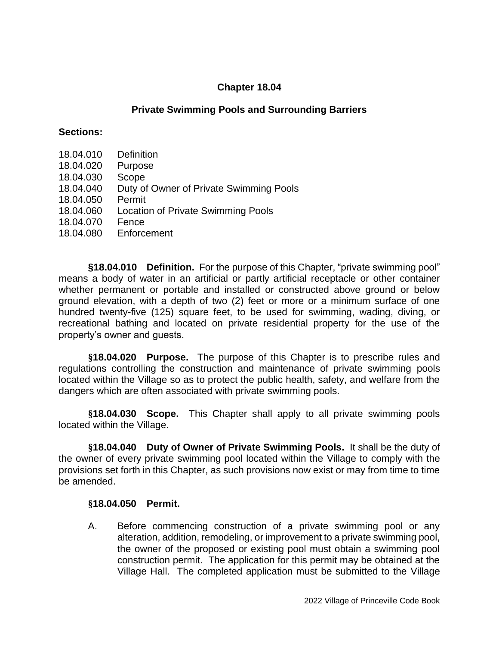## **Chapter 18.04**

## **Private Swimming Pools and Surrounding Barriers**

#### **Sections:**

- 18.04.010 Definition
- 18.04.020 Purpose
- 18.04.030 Scope
- 18.04.040 Duty of Owner of Private Swimming Pools
- 18.04.050 Permit
- 18.04.060 Location of Private Swimming Pools
- 18.04.070 Fence
- 18.04.080 Enforcement

**§18.04.010 Definition.** For the purpose of this Chapter, "private swimming pool" means a body of water in an artificial or partly artificial receptacle or other container whether permanent or portable and installed or constructed above ground or below ground elevation, with a depth of two (2) feet or more or a minimum surface of one hundred twenty-five (125) square feet, to be used for swimming, wading, diving, or recreational bathing and located on private residential property for the use of the property's owner and guests.

**§18.04.020 Purpose.** The purpose of this Chapter is to prescribe rules and regulations controlling the construction and maintenance of private swimming pools located within the Village so as to protect the public health, safety, and welfare from the dangers which are often associated with private swimming pools.

**§18.04.030 Scope.** This Chapter shall apply to all private swimming pools located within the Village.

**§18.04.040 Duty of Owner of Private Swimming Pools.** It shall be the duty of the owner of every private swimming pool located within the Village to comply with the provisions set forth in this Chapter, as such provisions now exist or may from time to time be amended.

### **§18.04.050 Permit.**

A. Before commencing construction of a private swimming pool or any alteration, addition, remodeling, or improvement to a private swimming pool, the owner of the proposed or existing pool must obtain a swimming pool construction permit. The application for this permit may be obtained at the Village Hall. The completed application must be submitted to the Village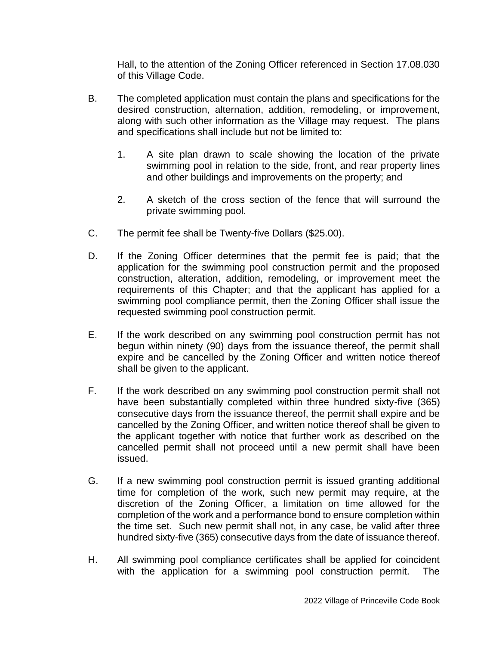Hall, to the attention of the Zoning Officer referenced in Section 17.08.030 of this Village Code.

- B. The completed application must contain the plans and specifications for the desired construction, alternation, addition, remodeling, or improvement, along with such other information as the Village may request. The plans and specifications shall include but not be limited to:
	- 1. A site plan drawn to scale showing the location of the private swimming pool in relation to the side, front, and rear property lines and other buildings and improvements on the property; and
	- 2. A sketch of the cross section of the fence that will surround the private swimming pool.
- C. The permit fee shall be Twenty-five Dollars (\$25.00).
- D. If the Zoning Officer determines that the permit fee is paid; that the application for the swimming pool construction permit and the proposed construction, alteration, addition, remodeling, or improvement meet the requirements of this Chapter; and that the applicant has applied for a swimming pool compliance permit, then the Zoning Officer shall issue the requested swimming pool construction permit.
- E. If the work described on any swimming pool construction permit has not begun within ninety (90) days from the issuance thereof, the permit shall expire and be cancelled by the Zoning Officer and written notice thereof shall be given to the applicant.
- F. If the work described on any swimming pool construction permit shall not have been substantially completed within three hundred sixty-five (365) consecutive days from the issuance thereof, the permit shall expire and be cancelled by the Zoning Officer, and written notice thereof shall be given to the applicant together with notice that further work as described on the cancelled permit shall not proceed until a new permit shall have been issued.
- G. If a new swimming pool construction permit is issued granting additional time for completion of the work, such new permit may require, at the discretion of the Zoning Officer, a limitation on time allowed for the completion of the work and a performance bond to ensure completion within the time set. Such new permit shall not, in any case, be valid after three hundred sixty-five (365) consecutive days from the date of issuance thereof.
- H. All swimming pool compliance certificates shall be applied for coincident with the application for a swimming pool construction permit. The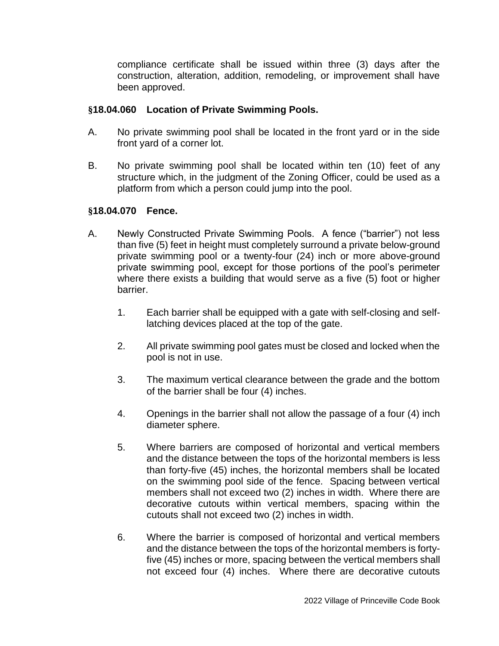compliance certificate shall be issued within three (3) days after the construction, alteration, addition, remodeling, or improvement shall have been approved.

## **§18.04.060 Location of Private Swimming Pools.**

- A. No private swimming pool shall be located in the front yard or in the side front yard of a corner lot.
- B. No private swimming pool shall be located within ten (10) feet of any structure which, in the judgment of the Zoning Officer, could be used as a platform from which a person could jump into the pool.

## **§18.04.070 Fence.**

- A. Newly Constructed Private Swimming Pools. A fence ("barrier") not less than five (5) feet in height must completely surround a private below-ground private swimming pool or a twenty-four (24) inch or more above-ground private swimming pool, except for those portions of the pool's perimeter where there exists a building that would serve as a five (5) foot or higher barrier.
	- 1. Each barrier shall be equipped with a gate with self-closing and selflatching devices placed at the top of the gate.
	- 2. All private swimming pool gates must be closed and locked when the pool is not in use.
	- 3. The maximum vertical clearance between the grade and the bottom of the barrier shall be four (4) inches.
	- 4. Openings in the barrier shall not allow the passage of a four (4) inch diameter sphere.
	- 5. Where barriers are composed of horizontal and vertical members and the distance between the tops of the horizontal members is less than forty-five (45) inches, the horizontal members shall be located on the swimming pool side of the fence. Spacing between vertical members shall not exceed two (2) inches in width. Where there are decorative cutouts within vertical members, spacing within the cutouts shall not exceed two (2) inches in width.
	- 6. Where the barrier is composed of horizontal and vertical members and the distance between the tops of the horizontal members is fortyfive (45) inches or more, spacing between the vertical members shall not exceed four (4) inches. Where there are decorative cutouts